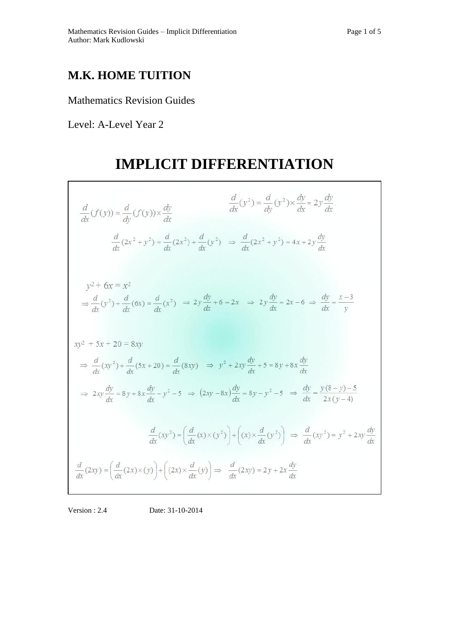## **M.K. HOME TUITION**

### Mathematics Revision Guides

Level: A-Level Year 2

# **IMPLICIT DIFFERENTIATION**



#### Version : 2.4 Date: 31-10-2014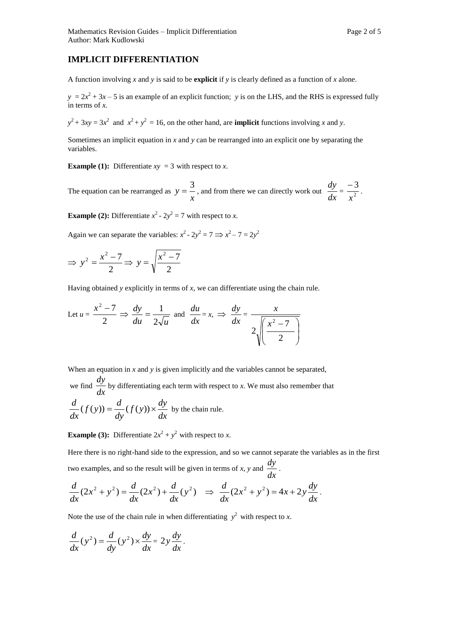### **IMPLICIT DIFFERENTIATION**

A function involving *x* and *y* is said to be **explicit** if *y* is clearly defined as a function of *x* alone.

 $y = 2x^2 + 3x - 5$  is an example of an explicit function; *y* is on the LHS, and the RHS is expressed fully in terms of *x.* 

 $y^2 + 3xy = 3x^2$  and  $x^2 + y^2 = 16$ , on the other hand, are **implicit** functions involving *x* and *y*.

Sometimes an implicit equation in *x* and *y* can be rearranged into an explicit one by separating the variables.

**Example (1):** Differentiate  $xy = 3$  with respect to *x*.

The equation can be rearranged as  $y = -\frac{y}{x}$  $y = -\frac{3}{x}$ , and from there we can directly work out *dx*  $rac{dy}{dx} = \frac{-3}{x^2}$ 3 *x*  $\frac{-3}{2}$ .

**Example (2):** Differentiate  $x^2 - 2y^2 = 7$  with respect to *x*.

Again we can separate the variables:  $x^2 - 2y^2 = 7 \implies x^2 - 7 = 2y^2$ 

$$
\Rightarrow y^2 = \frac{x^2 - 7}{2} \Rightarrow y = \sqrt{\frac{x^2 - 7}{2}}
$$

Having obtained *y* explicitly in terms of *x*, we can differentiate using the chain rule.

Let 
$$
u = \frac{x^2 - 7}{2} \Rightarrow \frac{dy}{du} = \frac{1}{2\sqrt{u}}
$$
 and  $\frac{du}{dx} = x, \Rightarrow \frac{dy}{dx} = \frac{x}{2\sqrt{\left(\frac{x^2 - 7}{2}\right)}}$ 

When an equation in *x* and *y* is given implicitly and the variables cannot be separated,

we find  $\frac{dy}{dx}$  $\frac{dy}{dx}$  by differentiating each term with respect to *x*. We must also remember that *dx*  $f(y) \times \frac{dy}{dx}$ *dy*  $f(y) = \frac{d}{dx}$ *dx*  $\frac{d}{dx}(f(y)) = \frac{d}{dx}(f(y)) \times \frac{dy}{dx}$  by the chain rule.

**Example (3):** Differentiate  $2x^2 + y^2$  with respect to *x*.

Here there is no right-hand side to the expression, and so we cannot separate the variables as in the first two examples, and so the result will be given in terms of *x*, *y* and  $\frac{dy}{dx}$  $\frac{dy}{dx}$ .

$$
\frac{d}{dx}(2x^2 + y^2) = \frac{d}{dx}(2x^2) + \frac{d}{dx}(y^2) \Rightarrow \frac{d}{dx}(2x^2 + y^2) = 4x + 2y\frac{dy}{dx}.
$$

Note the use of the chain rule in when differentiating  $y^2$  with respect to *x*.

$$
\frac{d}{dx}(y^2) = \frac{d}{dy}(y^2) \times \frac{dy}{dx} = 2y\frac{dy}{dx}.
$$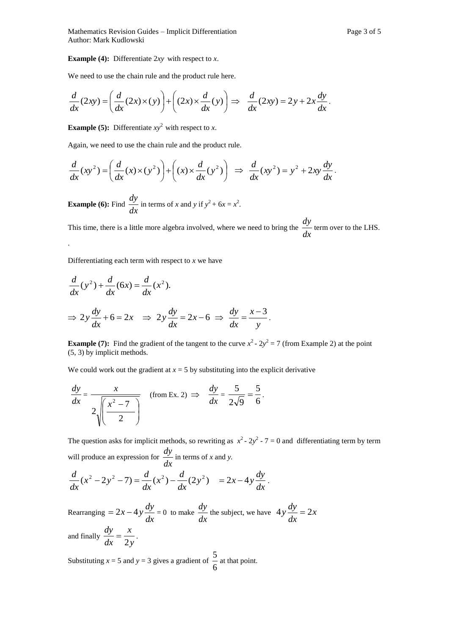**Example (4):** Differentiate 2*xy* with respect to *x*.

We need to use the chain rule and the product rule here.

$$
\frac{d}{dx}(2xy) = \left(\frac{d}{dx}(2x) \times (y)\right) + \left((2x) \times \frac{d}{dx}(y)\right) \implies \frac{d}{dx}(2xy) = 2y + 2x\frac{dy}{dx}.
$$

**Example (5):** Differentiate  $xy^2$  with respect to *x*.

Again, we need to use the chain rule and the product rule.

$$
\frac{d}{dx}(xy^2) = \left(\frac{d}{dx}(x) \times (y^2)\right) + \left((x) \times \frac{d}{dx}(y^2)\right) \implies \frac{d}{dx}(xy^2) = y^2 + 2xy\frac{dy}{dx}.
$$

**Example (6):** Find  $\frac{dy}{dx}$  $\frac{dy}{dx}$  in terms of *x* and *y* if  $y^2 + 6x = x^2$ .

This time, there is a little more algebra involved, where we need to bring the  $\frac{dy}{dx}$  $\frac{dy}{dx}$  term over to the LHS.

Differentiating each term with respect to *x* we have

.

$$
\frac{d}{dx}(y^2) + \frac{d}{dx}(6x) = \frac{d}{dx}(x^2).
$$
  
\n
$$
\Rightarrow 2y\frac{dy}{dx} + 6 = 2x \Rightarrow 2y\frac{dy}{dx} = 2x - 6 \Rightarrow \frac{dy}{dx} = \frac{x - 3}{y}.
$$

**Example (7):** Find the gradient of the tangent to the curve  $x^2 - 2y^2 = 7$  (from Example 2) at the point (5, 3) by implicit methods.

We could work out the gradient at  $x = 5$  by substituting into the explicit derivative

$$
\frac{dy}{dx} = \frac{x}{2\sqrt{\frac{x^2 - 7}{2}}}
$$
 (from Ex. 2)  $\Rightarrow$   $\frac{dy}{dx} = \frac{5}{2\sqrt{9}} = \frac{5}{6}$ .

The question asks for implicit methods, so rewriting as  $x^2 - 2y^2 - 7 = 0$  and differentiating term by term will produce an expression for  $\frac{dy}{dx}$  $\frac{dy}{dx}$  in terms of *x* and *y*.

$$
\frac{d}{dx}(x^2 - 2y^2 - 7) = \frac{d}{dx}(x^2) - \frac{d}{dx}(2y^2) = 2x - 4y\frac{dy}{dx}.
$$

Rearranging  $= 2x - 4y \frac{dy}{dx}$  $= 2x - 4y \frac{dy}{dx} = 0$  to make  $\frac{dy}{dx}$  $\frac{dy}{dx}$  the subject, we have  $4y\frac{dy}{dx} = 2x$ *dx*  $4y\frac{dy}{dx} = 2$ and finally  $\frac{dy}{dx} = \frac{y}{2y}$ *x dx dy* 2  $=\frac{\lambda}{\lambda}$ .

Substituting  $x = 5$  and  $y = 3$  gives a gradient of 6 5 at that point.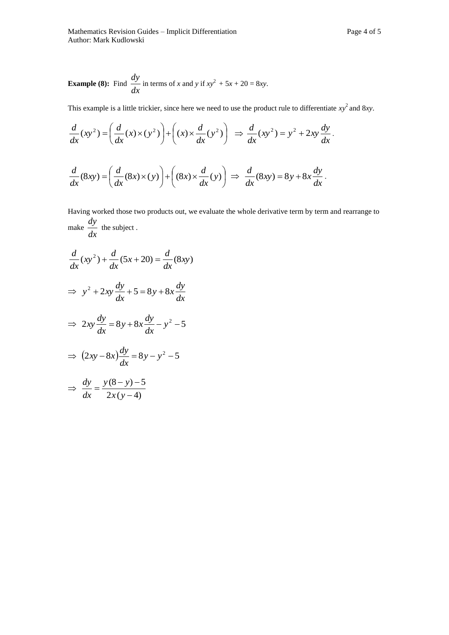**Example (8):** Find 
$$
\frac{dy}{dx}
$$
 in terms of x and y if  $xy^2 + 5x + 20 = 8xy$ .

This example is a little trickier, since here we need to use the product rule to differentiate  $xy^2$  and 8*xy*.

$$
\frac{d}{dx}(xy^2) = \left(\frac{d}{dx}(x) \times (y^2)\right) + \left((x) \times \frac{d}{dx}(y^2)\right) \implies \frac{d}{dx}(xy^2) = y^2 + 2xy\frac{dy}{dx}.
$$
\n
$$
\frac{d}{dx}(8xy) = \left(\frac{d}{dx}(8x) \times (y)\right) + \left((8x) \times \frac{d}{dx}(y)\right) \implies \frac{d}{dx}(8xy) = 8y + 8x\frac{dy}{dx}.
$$

Having worked those two products out, we evaluate the whole derivative term by term and rearrange to make  $\frac{dy}{dx}$  $\frac{dy}{dx}$  the subject.

$$
\frac{d}{dx}(xy^2) + \frac{d}{dx}(5x + 20) = \frac{d}{dx}(8xy)
$$

$$
\Rightarrow y^2 + 2xy\frac{dy}{dx} + 5 = 8y + 8x\frac{dy}{dx}
$$

$$
\Rightarrow 2xy\frac{dy}{dx} = 8y + 8x\frac{dy}{dx} - y^2 - 5
$$

$$
\Rightarrow (2xy - 8x)\frac{dy}{dx} = 8y - y^2 - 5
$$

$$
\Rightarrow \frac{dy}{dx} = \frac{y(8-y)-5}{2x(y-4)}
$$